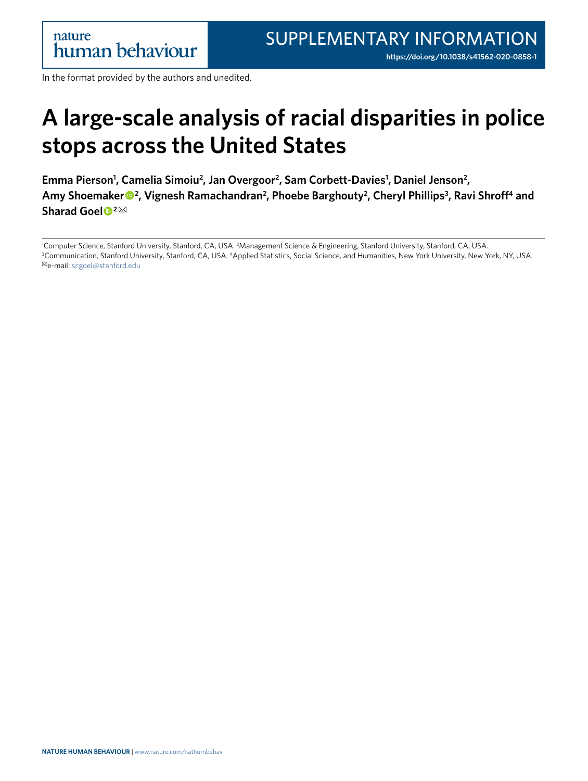In the format provided by the authors and unedited.

## **A large-scale analysis of racial disparities in police stops across the United States**

Emma Pierson<sup>1</sup>, Camelia Simoiu<sup>2</sup>, Jan Overgoor<sup>2</sup>, Sam Corbett-Davies<sup>1</sup>, Daniel Jenson<sup>2</sup>, Amy Shoemaker<sup>®2</sup>, Vignesh Ramachandran<sup>2</sup>, Phoebe Barghouty<sup>2</sup>, Cheryl Phillips<sup>3</sup>, Ravi Shroff<sup>4</sup> and **Sharad Goel <sup>2</sup>** ✉

Computer Science, Stanford University, Stanford, CA, USA. <sup>2</sup>Management Science & Engineering, Stanford University, Stanford, CA, USA.<br><sup>3</sup>Communication, Stanford University, Stanford, CA, USA, 4Annlied Statistics, Social S <sup>3</sup>Communication, Stanford University, Stanford, CA, USA. <sup>4</sup>Applied Statistics, Social Science, and Humanities, New York University, New York, NY, USA. ✉e-mail: [scgoel@stanford.edu](mailto:scgoel@stanford.edu)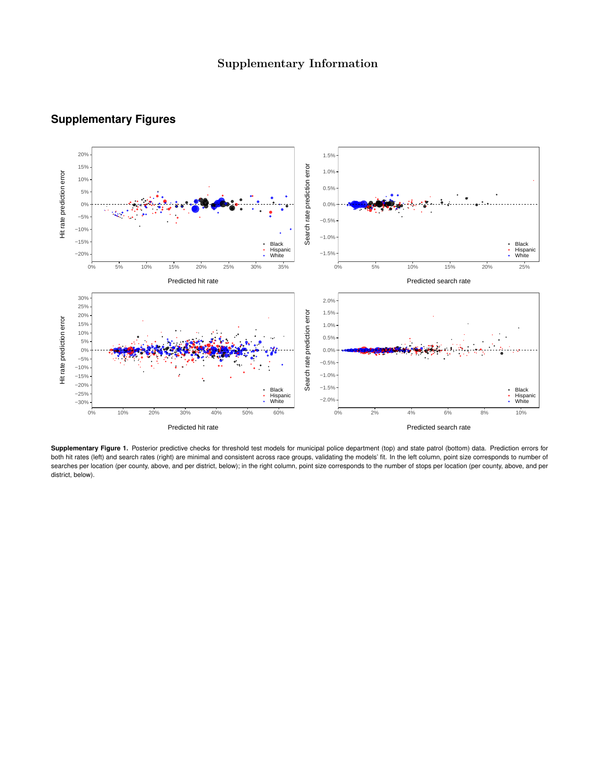

## **Supplementary Figures**

**Supplementary Figure 1.** Posterior predictive checks for threshold test models for municipal police department (top) and state patrol (bottom) data. Prediction errors for both hit rates (left) and search rates (right) are minimal and consistent across race groups, validating the models' fit. In the left column, point size corresponds to number of searches per location (per county, above, and per district, below); in the right column, point size corresponds to the number of stops per location (per county, above, and per district, below).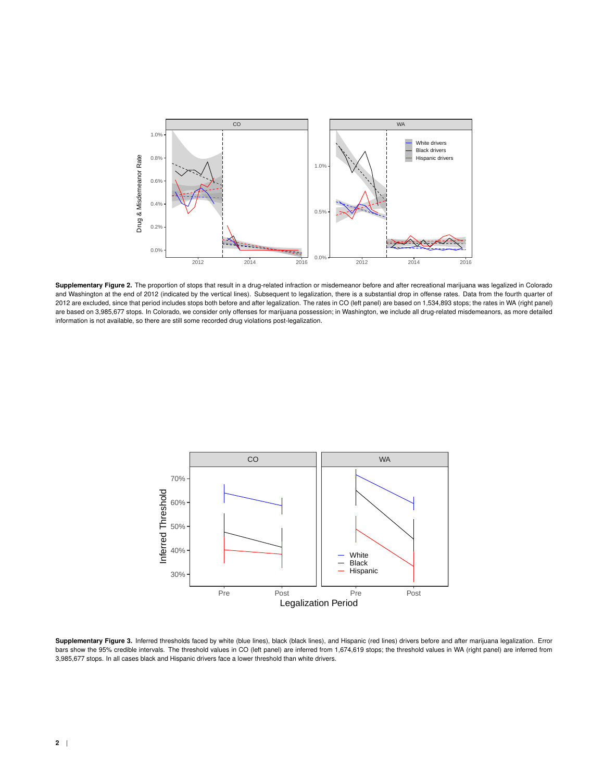

**Supplementary Figure 2.** The proportion of stops that result in a drug-related infraction or misdemeanor before and after recreational marijuana was legalized in Colorado and Washington at the end of 2012 (indicated by the vertical lines). Subsequent to legalization, there is a substantial drop in offense rates. Data from the fourth quarter of 2012 are excluded, since that period includes stops both before and after legalization. The rates in CO (left panel) are based on 1,534,893 stops; the rates in WA (right panel) are based on 3,985,677 stops. In Colorado, we consider only offenses for marijuana possession; in Washington, we include all drug-related misdemeanors, as more detailed information is not available, so there are still some recorded drug violations post-legalization.



**Supplementary Figure 3.** Inferred thresholds faced by white (blue lines), black (black lines), and Hispanic (red lines) drivers before and after marijuana legalization. Error bars show the 95% credible intervals. The threshold values in CO (left panel) are inferred from 1,674,619 stops; the threshold values in WA (right panel) are inferred from 3,985,677 stops. In all cases black and Hispanic drivers face a lower threshold than white drivers.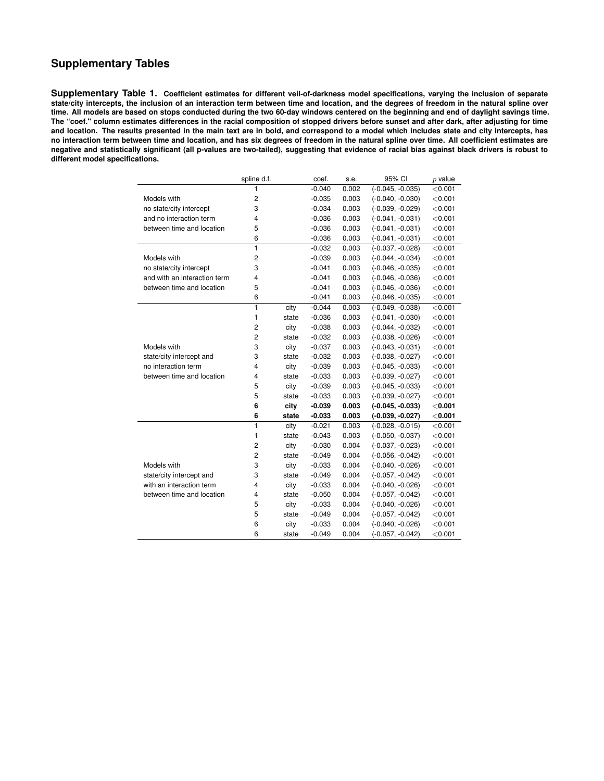## **Supplementary Tables**

**Supplementary Table 1. Coefficient estimates for different veil-of-darkness model specifications, varying the inclusion of separate state/city intercepts, the inclusion of an interaction term between time and location, and the degrees of freedom in the natural spline over time. All models are based on stops conducted during the two 60-day windows centered on the beginning and end of daylight savings time. The "coef." column estimates differences in the racial composition of stopped drivers before sunset and after dark, after adjusting for time and location. The results presented in the main text are in bold, and correspond to a model which includes state and city intercepts, has no interaction term between time and location, and has six degrees of freedom in the natural spline over time. All coefficient estimates are negative and statistically significant (all p-values are two-tailed), suggesting that evidence of racial bias against black drivers is robust to different model specifications.**

|                              | spline d.f.             |       | coef.    | s.e.  | 95% CI             | $p$ value |
|------------------------------|-------------------------|-------|----------|-------|--------------------|-----------|
|                              | 1                       |       | $-0.040$ | 0.002 | $(-0.045, -0.035)$ | < 0.001   |
| Models with                  | $\overline{c}$          |       | $-0.035$ | 0.003 | $(-0.040, -0.030)$ | < 0.001   |
| no state/city intercept      | 3                       |       | $-0.034$ | 0.003 | $(-0.039, -0.029)$ | < 0.001   |
| and no interaction term      | 4                       |       | $-0.036$ | 0.003 | $(-0.041, -0.031)$ | < 0.001   |
| between time and location    | 5                       |       | $-0.036$ | 0.003 | $(-0.041, -0.031)$ | < 0.001   |
|                              | 6                       |       | $-0.036$ | 0.003 | $(-0.041, -0.031)$ | < 0.001   |
|                              | 1                       |       | $-0.032$ | 0.003 | $(-0.037, -0.028)$ | < 0.001   |
| Models with                  | $\overline{\mathbf{c}}$ |       | $-0.039$ | 0.003 | $(-0.044, -0.034)$ | < 0.001   |
| no state/city intercept      | 3                       |       | $-0.041$ | 0.003 | $(-0.046, -0.035)$ | < 0.001   |
| and with an interaction term | 4                       |       | $-0.041$ | 0.003 | $(-0.046, -0.036)$ | < 0.001   |
| between time and location    | 5                       |       | $-0.041$ | 0.003 | $(-0.046, -0.036)$ | < 0.001   |
|                              | 6                       |       | $-0.041$ | 0.003 | $(-0.046, -0.035)$ | < 0.001   |
|                              | 1                       | city  | $-0.044$ | 0.003 | $(-0.049, -0.038)$ | < 0.001   |
|                              | 1                       | state | $-0.036$ | 0.003 | $(-0.041, -0.030)$ | < 0.001   |
|                              | $\overline{c}$          | city  | $-0.038$ | 0.003 | $(-0.044, -0.032)$ | < 0.001   |
|                              | $\overline{c}$          | state | $-0.032$ | 0.003 | $(-0.038, -0.026)$ | < 0.001   |
| Models with                  | 3                       | city  | $-0.037$ | 0.003 | $(-0.043, -0.031)$ | < 0.001   |
| state/city intercept and     | 3                       | state | $-0.032$ | 0.003 | $(-0.038, -0.027)$ | < 0.001   |
| no interaction term          | 4                       | city  | $-0.039$ | 0.003 | $(-0.045, -0.033)$ | < 0.001   |
| between time and location    | 4                       | state | $-0.033$ | 0.003 | $(-0.039, -0.027)$ | < 0.001   |
|                              | 5                       | city  | $-0.039$ | 0.003 | $(-0.045, -0.033)$ | < 0.001   |
|                              | 5                       | state | $-0.033$ | 0.003 | $(-0.039, -0.027)$ | < 0.001   |
|                              | 6                       | city  | $-0.039$ | 0.003 | $(-0.045, -0.033)$ | $<$ 0.001 |
|                              | 6                       | state | $-0.033$ | 0.003 | $(-0.039, -0.027)$ | $<$ 0.001 |
|                              | 1                       | city  | $-0.021$ | 0.003 | $(-0.028, -0.015)$ | < 0.001   |
|                              | 1                       | state | $-0.043$ | 0.003 | $(-0.050, -0.037)$ | < 0.001   |
|                              | $\overline{\mathbf{c}}$ | city  | $-0.030$ | 0.004 | $(-0.037, -0.023)$ | < 0.001   |
|                              | $\overline{c}$          | state | $-0.049$ | 0.004 | $(-0.056, -0.042)$ | < 0.001   |
| Models with                  | 3                       | city  | $-0.033$ | 0.004 | $(-0.040, -0.026)$ | < 0.001   |
| state/city intercept and     | 3                       | state | $-0.049$ | 0.004 | $(-0.057, -0.042)$ | < 0.001   |
| with an interaction term     | 4                       | city  | $-0.033$ | 0.004 | $(-0.040, -0.026)$ | < 0.001   |
| between time and location    | 4                       | state | $-0.050$ | 0.004 | $(-0.057, -0.042)$ | < 0.001   |
|                              | 5                       | city  | $-0.033$ | 0.004 | $(-0.040, -0.026)$ | < 0.001   |
|                              | 5                       | state | $-0.049$ | 0.004 | $(-0.057, -0.042)$ | < 0.001   |
|                              | 6                       | city  | $-0.033$ | 0.004 | $(-0.040, -0.026)$ | < 0.001   |
|                              | 6                       | state | $-0.049$ | 0.004 | $(-0.057, -0.042)$ | < 0.001   |